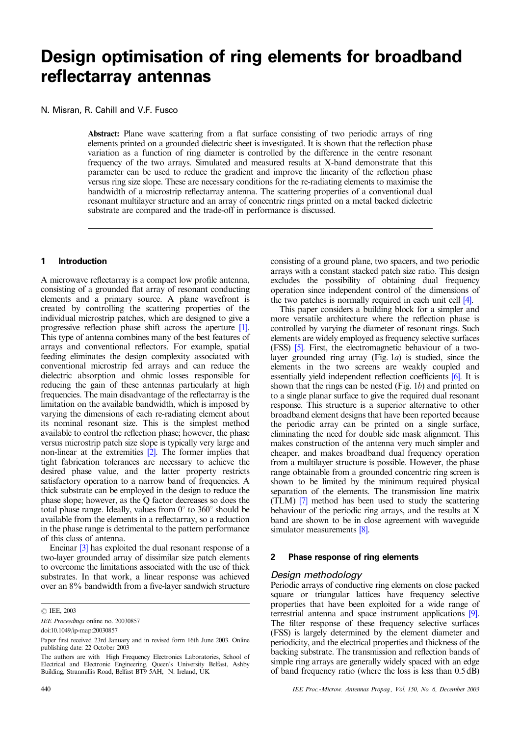# **Design optimisation of ring elements for broadband reflectarray antennas**

N. Misran, R. Cahill and V.F. Fusco

Abstract: Plane wave scattering from a flat surface consisting of two periodic arrays of ring elements printed on a grounded dielectric sheet is investigated. It is shown that the reflection phase variation as a function of ring diameter is controlled by the difference in the centre resonant frequency of the two arrays. Simulated and measured results at X-band demonstrate that this parameter can be used to reduce the gradient and improve the linearity of the reflection phase versus ring size slope. These are necessary conditions for the re-radiating elements to maximise the bandwidth of a microstrip reflectarray antenna. The scattering properties of a conventional dual resonant multilayer structure and an array of concentric rings printed on a metal backed dielectric substrate are compared and the trade-off in performance is discussed.

#### **1 Introduction**

A microwave reflectarray is a compact low profile antenna, consisting of a grounded flat array of resonant conducting elements and a primary source. A plane wavefront is created by controlling the scattering properties of the individual microstrip patches, which are designed to give a progressive reflection phase shift across the aperture [\[1\]](#page-4-0). This type of antenna combines many of the best features of arrays and conventional reflectors. For example, spatial feeding eliminates the design complexity associated with conventional microstrip fed arrays and can reduce the dielectric absorption and ohmic losses responsible for reducing the gain of these antennas particularly at high frequencies. The main disadvantage of the reflectarray is the limitation on the available bandwidth, which is imposed by varying the dimensions of each re-radiating element about its nominal resonant size. This is the simplest method available to control the reflection phase; however, the phase versus microstrip patch size slope is typically very large and non-linear at the extremities [\[2\]](#page-4-0). The former implies that tight fabrication tolerances are necessary to achieve the desired phase value, and the latter property restricts satisfactory operation to a narrow band of frequencies. A thick substrate can be employed in the design to reduce the phase slope; however, as the Q factor decreases so does the total phase range. Ideally, values from  $0^{\circ}$  to  $360^{\circ}$  should be available from the elements in a reflectarray, so a reduction in the phase range is detrimental to the pattern performance of this class of antenna.

Encinar [\[3\]](#page-4-0) has exploited the dual resonant response of a two-layer grounded array of dissimilar size patch elements to overcome the limitations associated with the use of thick substrates. In that work, a linear response was achieved over an 8% bandwidth from a five-layer sandwich structure

**C** IEE, 2003

doi:10.1049/ip-map:20030857

consisting of a ground plane, two spacers, and two periodic arrays with a constant stacked patch size ratio. This design excludes the possibility of obtaining dual frequency operation since independent control of the dimensions of the two patches is normally required in each unit cell [\[4\]](#page-4-0).

This paper considers a building block for a simpler and more versatile architecture where the reflection phase is controlled by varying the diameter of resonant rings. Such elements are widely employed as frequency selective surfaces (FSS) [\[5\].](#page-4-0) First, the electromagnetic behaviour of a twolayer grounded ring array (Fig. 1a) is studied, since the elements in the two screens are weakly coupled and essentially yield independent reflection coefficients [\[6\]](#page-4-0). It is shown that the rings can be nested (Fig. 1b) and printed on to a single planar surface to give the required dual resonant response. This structure is a superior alternative to other broadband element designs that have been reported because the periodic array can be printed on a single surface, eliminating the need for double side mask alignment. This makes construction of the antenna very much simpler and cheaper, and makes broadband dual frequency operation from a multilayer structure is possible. However, the phase range obtainable from a grounded concentric ring screen is shown to be limited by the minimum required physical separation of the elements. The transmission line matrix (TLM) [\[7\]](#page-4-0) method has been used to study the scattering behaviour of the periodic ring arrays, and the results at X band are shown to be in close agreement with waveguide simulator measurements [\[8\].](#page-4-0)

#### **2 Phase response of ring elements**

#### *Design methodology*

Periodic arrays of conductive ring elements on close packed square or triangular lattices have frequency selective properties that have been exploited for a wide range of terrestrial antenna and space instrument applications [\[9\]](#page-4-0). The filter response of these frequency selective surfaces (FSS) is largely determined by the element diameter and periodicity, and the electrical properties and thickness of the backing substrate. The transmission and reflection bands of simple ring arrays are generally widely spaced with an edge of band frequency ratio (where the loss is less than 0.5 dB)

IEE Proceedings online no. 20030857

Paper first received 23rd January and in revised form 16th June 2003. Online publishing date: 22 October 2003

The authors are with High Frequency Electronics Laboratories, School of Electrical and Electronic Engineering, Queen's University Belfast, Ashby Building, Stranmillis Road, Belfast BT9 5AH, N. Ireland, UK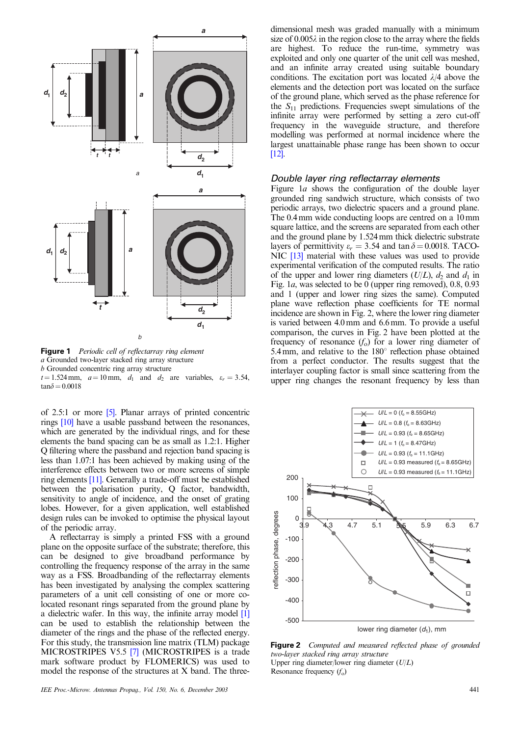

**Figure 1** Periodic cell of reflectarray ring element a Grounded two-layer stacked ring array structure b Grounded concentric ring array structure  $t = 1.524$  mm,  $a = 10$  mm,  $d_1$  and  $d_2$  are variables,  $\varepsilon_r = 3.54$ ,  $tan\delta = 0.0018$ 

of 2.5:1 or more [\[5\]](#page-4-0). Planar arrays of printed concentric rings [\[10\]](#page-4-0) have a usable passband between the resonances, which are generated by the individual rings, and for these elements the band spacing can be as small as 1.2:1. Higher Q filtering where the passband and rejection band spacing is less than 1.07:1 has been achieved by making using of the interference effects between two or more screens of simple ring elements [\[11\]](#page-4-0). Generally a trade-off must be established between the polarisation purity, Q factor, bandwidth, sensitivity to angle of incidence, and the onset of grating lobes. However, for a given application, well established design rules can be invoked to optimise the physical layout of the periodic array.

A reflectarray is simply a printed FSS with a ground plane on the opposite surface of the substrate; therefore, this can be designed to give broadband performance by controlling the frequency response of the array in the same way as a FSS. Broadbanding of the reflectarray elements has been investigated by analysing the complex scattering parameters of a unit cell consisting of one or more colocated resonant rings separated from the ground plane by a dielectric wafer. In this way, the infinite array model [\[1\]](#page-4-0) can be used to establish the relationship between the diameter of the rings and the phase of the reflected energy. For this study, the transmission line matrix(TLM) package MICROSTRIPES V5.5 [\[7\]](#page-4-0) (MICROSTRIPES is a trade mark software product by FLOMERICS) was used to model the response of the structures at X band. The threedimensional mesh was graded manually with a minimum size of  $0.005\lambda$  in the region close to the array where the fields are highest. To reduce the run-time, symmetry was exploited and only one quarter of the unit cell was meshed, and an infinite array created using suitable boundary conditions. The excitation port was located  $\lambda/4$  above the elements and the detection port was located on the surface of the ground plane, which served as the phase reference for the  $S_{11}$  predictions. Frequencies swept simulations of the infinite array were performed by setting a zero cut-off frequency in the waveguide structure, and therefore modelling was performed at normal incidence where the largest unattainable phase range has been shown to occur [\[12\].](#page-4-0)

#### *Double layer ring reflectarray elements*

Figure 1*a* shows the configuration of the double layer grounded ring sandwich structure, which consists of two periodic arrays, two dielectric spacers and a ground plane. The 0.4 mm wide conducting loops are centred on a 10 mm square lattice, and the screens are separated from each other and the ground plane by 1.524 mm thick dielectric substrate layers of permittivity  $\varepsilon_r = 3.54$  and tan  $\delta = 0.0018$ . TACO-NIC [\[13\]](#page-4-0) material with these values was used to provide experimental verification of the computed results. The ratio of the upper and lower ring diameters  $(U/L)$ ,  $d_2$  and  $d_1$  in Fig. 1a, was selected to be 0 (upper ring removed), 0.8, 0.93 and 1 (upper and lower ring sizes the same). Computed plane wave reflection phase coefficients for TE normal incidence are shown in Fig. 2, where the lower ring diameter is varied between 4.0 mm and 6.6 mm. To provide a useful comparison, the curves in Fig. 2 have been plotted at the frequency of resonance  $(f_0)$  for a lower ring diameter of 5.4 mm, and relative to the  $180^\circ$  reflection phase obtained from a perfect conductor. The results suggest that the interlayer coupling factor is small since scattering from the upper ring changes the resonant frequency by less than



**Figure 2** Computed and measured reflected phase of grounded two-layer stacked ring array structure Upper ring diameter/lower ring diameter  $(U/L)$ Resonance frequency  $(f_0)$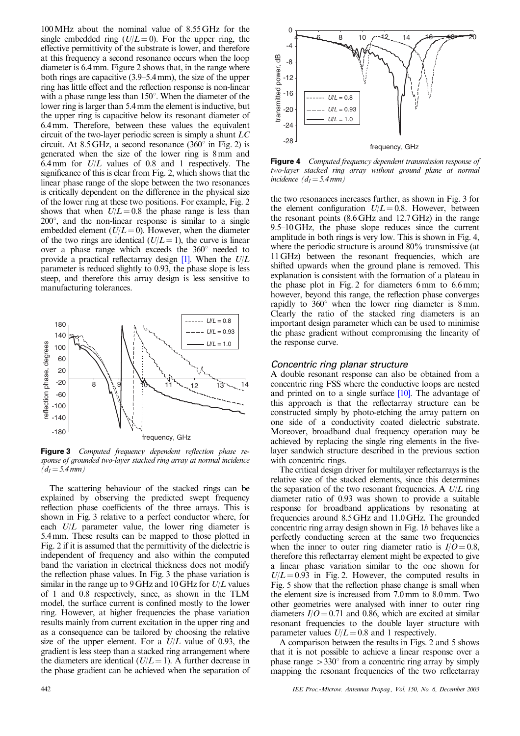100MHz about the nominal value of 8.55 GHz for the single embedded ring  $(U/L=0)$ . For the upper ring, the effective permittivity of the substrate is lower, and therefore at this frequency a second resonance occurs when the loop diameter is 6.4 mm. Figure 2 shows that, in the range where both rings are capacitive (3.9–5.4 mm), the size of the upper ring has little effect and the reflection response is non-linear with a phase range less than  $150^\circ$ . When the diameter of the lower ring is larger than 5.4 mm the element is inductive, but the upper ring is capacitive below its resonant diameter of 6.4 mm. Therefore, between these values the equivalent circuit of the two-layer periodic screen is simply a shunt LC circuit. At 8.5 GHz, a second resonance  $(360^{\circ}$  in Fig. 2) is generated when the size of the lower ring is 8 mm and 6.4 mm for  $U/L$  values of 0.8 and 1 respectively. The significance of this is clear from Fig. 2, which shows that the linear phase range of the slope between the two resonances is critically dependent on the difference in the physical size of the lower ring at these two positions. For example, Fig. 2 shows that when  $U/L = 0.8$  the phase range is less than  $200^{\circ}$ , and the non-linear response is similar to a single embedded element  $(U/L = 0)$ . However, when the diameter of the two rings are identical  $(U/L = 1)$ , the curve is linear over a phase range which exceeds the  $360^{\circ}$  needed to provide a practical reflectarray design  $[1]$ . When the  $U/L$ parameter is reduced slightly to 0.93, the phase slope is less steep, and therefore this array design is less sensitive to manufacturing tolerances.



**Figure 3** Computed frequency dependent reflection phase response of grounded two-layer stacked ring array at normal incidence  $(d_1 = 5.4 \, \text{mm})$ 

The scattering behaviour of the stacked rings can be explained by observing the predicted swept frequency reflection phase coefficients of the three arrays. This is shown in Fig. 3 relative to a perfect conductor where, for each  $U/L$  parameter value, the lower ring diameter is 5.4 mm. These results can be mapped to those plotted in Fig. 2 if it is assumed that the permittivity of the dielectric is independent of frequency and also within the computed band the variation in electrical thickness does not modify the reflection phase values. In Fig. 3 the phase variation is similar in the range up to  $9$  GHz and  $10$  GHz for  $U/L$  values of 1 and 0.8 respectively, since, as shown in the TLM model, the surface current is confined mostly to the lower ring. However, at higher frequencies the phase variation results mainly from current excitation in the upper ring and as a consequence can be tailored by choosing the relative size of the upper element. For a  $U/L$  value of 0.93, the gradient is less steep than a stacked ring arrangement where the diameters are identical  $(U/L = 1)$ . A further decrease in the phase gradient can be achieved when the separation of



**Figure 4** Computed frequency dependent transmission response of two-layer stacked ring array without ground plane at normal incidence  $(d_1 = 5.4$  mm)

the two resonances increases further, as shown in Fig. 3 for the element configuration  $U/L = 0.8$ . However, between the resonant points (8.6 GHz and 12.7 GHz) in the range 9.5–10 GHz, the phase slope reduces since the current amplitude in both rings is very low. This is shown in Fig. 4, where the periodic structure is around 80% transmissive (at 11 GHz) between the resonant frequencies, which are shifted upwards when the ground plane is removed. This explanation is consistent with the formation of a plateau in the phase plot in Fig. 2 for diameters 6 mm to 6.6 mm; however, beyond this range, the reflection phase converges rapidly to  $360^{\circ}$  when the lower ring diameter is 8 mm. Clearly the ratio of the stacked ring diameters is an important design parameter which can be used to minimise the phase gradient without compromising the linearity of the response curve.

#### *Concentric ring planar structure*

A double resonant response can also be obtained from a concentric ring FSS where the conductive loops are nested and printed on to a single surface [\[10\]](#page-4-0). The advantage of this approach is that the reflectarray structure can be constructed simply by photo-etching the array pattern on one side of a conductivity coated dielectric substrate. Moreover, broadband dual frequency operation may be achieved by replacing the single ring elements in the fivelayer sandwich structure described in the previous section with concentric rings.

The critical design driver for multilayer reflectarrays is the relative size of the stacked elements, since this determines the separation of the two resonant frequencies. A  $U/L$  ring diameter ratio of 0.93 was shown to provide a suitable response for broadband applications by resonating at frequencies around 8.5 GHz and 11.0 GHz. The grounded concentric ring array design shown in Fig. 1b behaves like a perfectly conducting screen at the same two frequencies when the inner to outer ring diameter ratio is  $I/O = 0.8$ , therefore this reflectarray element might be expected to give a linear phase variation similar to the one shown for  $U/L = 0.93$  in Fig. 2. However, the computed results in Fig. 5 show that the reflection phase change is small when the element size is increased from 7.0 mm to 8.0 mm. Two other geometries were analysed with inner to outer ring diameters  $I/O = 0.71$  and 0.86, which are excited at similar resonant frequencies to the double layer structure with parameter values  $U/L = 0.8$  and 1 respectively.

A comparison between the results in Figs. 2 and 5 shows that it is not possible to achieve a linear response over a phase range  $>330^{\circ}$  from a concentric ring array by simply mapping the resonant frequencies of the two reflectarray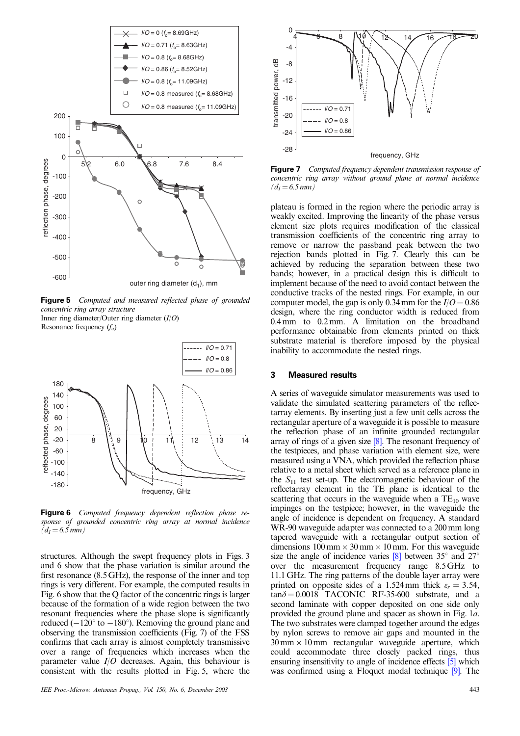

**Figure 5** Computed and measured reflected phase of grounded concentric ring array structure

Inner ring diameter/Outer ring diameter  $(I/O)$ Resonance frequency  $(f_0)$ 



**Figure 6** Computed frequency dependent reflection phase response of grounded concentric ring array at normal incidence  $(d_1 = 6.5 \, \text{mm})$ 

structures. Although the swept frequency plots in Figs. 3 and 6 show that the phase variation is similar around the first resonance (8.5 GHz), the response of the inner and top rings is very different. For example, the computed results in Fig. 6 show that the Q factor of the concentric rings is larger because of the formation of a wide region between the two resonant frequencies where the phase slope is significantly reduced  $(-120^{\circ}$  to  $-180^{\circ})$ . Removing the ground plane and observing the transmission coefficients (Fig. 7) of the FSS confirms that each array is almost completely transmissive over a range of frequencies which increases when the parameter value  $I/O$  decreases. Again, this behaviour is consistent with the results plotted in Fig. 5, where the



**Figure 7** Computed frequency dependent transmission response of concentric ring array without ground plane at normal incidence  $(d_1 = 6.5 \, mm)$ 

plateau is formed in the region where the periodic array is weakly excited. Improving the linearity of the phase versus element size plots requires modification of the classical transmission coefficients of the concentric ring array to remove or narrow the passband peak between the two rejection bands plotted in Fig. 7. Clearly this can be achieved by reducing the separation between these two bands; however, in a practical design this is difficult to implement because of the need to avoid contact between the conductive tracks of the nested rings. For example, in our computer model, the gap is only 0.34 mm for the  $I/O = 0.86$ design, where the ring conductor width is reduced from 0.4 mm to 0.2 mm. A limitation on the broadband performance obtainable from elements printed on thick substrate material is therefore imposed by the physical inability to accommodate the nested rings.

#### **3 Measured results**

A series of waveguide simulator measurements was used to validate the simulated scattering parameters of the reflectarray elements. By inserting just a few unit cells across the rectangular aperture of a waveguide it is possible to measure the reflection phase of an infinite grounded rectangular array of rings of a given size  $[8]$ . The resonant frequency of the testpieces, and phase variation with element size, were measured using a VNA, which provided the reflection phase relative to a metal sheet which served as a reference plane in the  $S_{11}$  test set-up. The electromagnetic behaviour of the reflectarray element in the TE plane is identical to the scattering that occurs in the waveguide when a  $TE_{10}$  wave impinges on the testpiece; however, in the waveguide the angle of incidence is dependent on frequency. A standard WR-90 waveguide adapter was connected to a 200 mm long tapered waveguide with a rectangular output section of dimensions  $100 \text{ mm} \times 30 \text{ mm} \times 10 \text{ mm}$ . For this waveguide size the angle of incidence varies  $[8]$  between 35 $^{\circ}$  and 27 $^{\circ}$ over the measurement frequency range 8.5 GHz to 11.1 GHz. The ring patterns of the double layer array were printed on opposite sides of a 1.524 mm thick  $\varepsilon_r = 3.54$ ,  $tan\delta = 0.0018$  TACONIC RF-35-600 substrate, and a second laminate with copper deposited on one side only provided the ground plane and spacer as shown in Fig. 1a. The two substrates were clamped together around the edges by nylon screws to remove air gaps and mounted in the  $30 \text{ mm} \times 10 \text{ mm}$  rectangular waveguide aperture, which could accommodate three closely packed rings, thus ensuring insensitivity to angle of incidence effects [\[5\]](#page-4-0) which was confirmed using a Floquet modal technique [\[9\]](#page-4-0). The